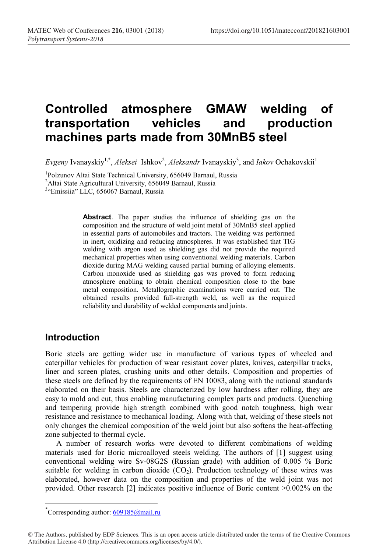# **Controlled atmosphere GMAW welding of transportation vehicles and production machines parts made from 30MnB5 steel**

Evgeny Ivanayskiy<sup>1,\*</sup>, Aleksei Ishkov<sup>2</sup>, Aleksandr Ivanayskiy<sup>3</sup>, and *Iakov* Ochakovskii<sup>1</sup>

<sup>1</sup>Polzunov Altai State Technical University, 656049 Barnaul, Russia Polzunov Altai State Technical University, 656049 Barnaul, Russia<br><sup>2</sup>Altai State Agricultural University, 656049 Barnaul, Russia

<sup>2</sup>Altai State Agricultural University, 656049 Barnaul, Russia<br><sup>3</sup> Emissiia" LLC 656067 Barnaul, Russia

<sup>3</sup>"Emissiia" LLC, 656067 Barnaul, Russia

**Abstract**. The paper studies the influence of shielding gas on the composition and the structure of weld joint metal of 30MnB5 steel applied in essential parts of automobiles and tractors. The welding was performed in inert, oxidizing and reducing atmospheres. It was established that TIG welding with argon used as shielding gas did not provide the required mechanical properties when using conventional welding materials. Carbon dioxide during MAG welding caused partial burning of alloying elements. Carbon monoxide used as shielding gas was proved to form reducing atmosphere enabling to obtain chemical composition close to the base metal composition. Metallographic examinations were carried out. The obtained results provided full-strength weld, as well as the required reliability and durability of welded components and joints.

## **Introduction**

Boric steels are getting wider use in manufacture of various types of wheeled and caterpillar vehicles for production of wear resistant cover plates, knives, caterpillar tracks, liner and screen plates, crushing units and other details. Composition and properties of these steels are defined by the requirements of EN 10083, along with the national standards elaborated on their basis. Steels are characterized by low hardness after rolling, they are easy to mold and cut, thus enabling manufacturing complex parts and products. Quenching and tempering provide high strength combined with good notch toughness, high wear resistance and resistance to mechanical loading. Along with that, welding of these steels not only changes the chemical composition of the weld joint but also softens the heat-affecting zone subjected to thermal cycle.

A number of research works were devoted to different combinations of welding materials used for Boric microalloyed steels welding. The authors of [1] suggest using conventional welding wire Sv-08G2S (Russian grade) with addition of 0.005 % Boric suitable for welding in carbon dioxide  $(CO<sub>2</sub>)$ . Production technology of these wires was elaborated, however data on the composition and properties of the weld joint was not provided. Other research [2] indicates positive influence of Boric content >0.002% on the

 <sup>\*</sup> Corresponding author:  $609185$ @mail.ru

<sup>©</sup> The Authors, published by EDP Sciences. This is an open access article distributed under the terms of the Creative Commons Attribution License 4.0 (http://creativecommons.org/licenses/by/4.0/).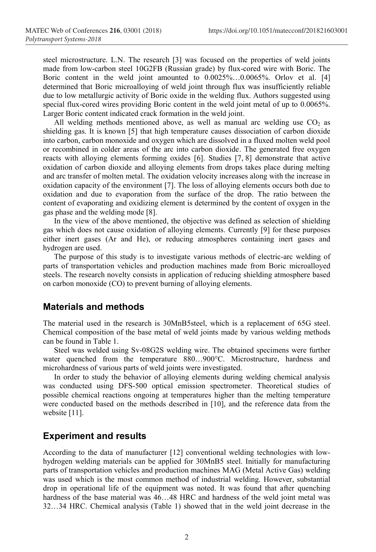steel microstructure. L.N. The research [3] was focused on the properties of weld joints made from low-carbon steel 10G2FB (Russian grade) by flux-cored wire with Boric. The Boric content in the weld joint amounted to 0.0025%…0.0065%. Orlov et al. [4] determined that Boric microalloying of weld joint through flux was insufficiently reliable due to low metallurgic activity of Boric oxide in the welding flux. Authors suggested using special flux-cored wires providing Boric content in the weld joint metal of up to 0.0065%. Larger Boric content indicated crack formation in the weld joint.

All welding methods mentioned above, as well as manual arc welding use  $CO<sub>2</sub>$  as shielding gas. It is known [5] that high temperature causes dissociation of carbon dioxide into carbon, carbon monoxide and oxygen which are dissolved in a fluxed molten weld pool or recombined in colder areas of the arc into carbon dioxide. The generated free oxygen reacts with alloying elements forming oxides [6]. Studies [7, 8] demonstrate that active oxidation of carbon dioxide and alloying elements from drops takes place during melting and arc transfer of molten metal. The oxidation velocity increases along with the increase in oxidation capacity of the environment [7]. The loss of alloying elements occurs both due to oxidation and due to evaporation from the surface of the drop. The ratio between the content of evaporating and oxidizing element is determined by the content of oxygen in the gas phase and the welding mode [8].

In the view of the above mentioned, the objective was defined as selection of shielding gas which does not cause oxidation of alloying elements. Currently [9] for these purposes either inert gases (Ar and He), or reducing atmospheres containing inert gases and hydrogen are used.

The purpose of this study is to investigate various methods of electric-arc welding of parts of transportation vehicles and production machines made from Boric microalloyed steels. The research novelty consists in application of reducing shielding atmosphere based on carbon monoxide (CO) to prevent burning of alloying elements.

## **Materials and methods**

The material used in the research is 30MnB5steel, which is a replacement of 65G steel. Chemical composition of the base metal of weld joints made by various welding methods can be found in Table 1.

Steel was welded using Sv-08G2S welding wire. The obtained specimens were further water quenched from the temperature 880...900°C. Microstructure, hardness and microhardness of various parts of weld joints were investigated.

In order to study the behavior of alloying elements during welding chemical analysis was conducted using DFS-500 optical emission spectrometer. Theoretical studies of possible chemical reactions ongoing at temperatures higher than the melting temperature were conducted based on the methods described in [10], and the reference data from the website [11].

#### **Experiment and results**

According to the data of manufacturer [12] conventional welding technologies with lowhydrogen welding materials can be applied for 30MnB5 steel. Initially for manufacturing parts of transportation vehicles and production machines MAG (Metal Active Gas) welding was used which is the most common method of industrial welding. However, substantial drop in operational life of the equipment was noted. It was found that after quenching hardness of the base material was  $46...48$  HRC and hardness of the weld joint metal was 32…34 HRC. Chemical analysis (Table 1) showed that in the weld joint decrease in the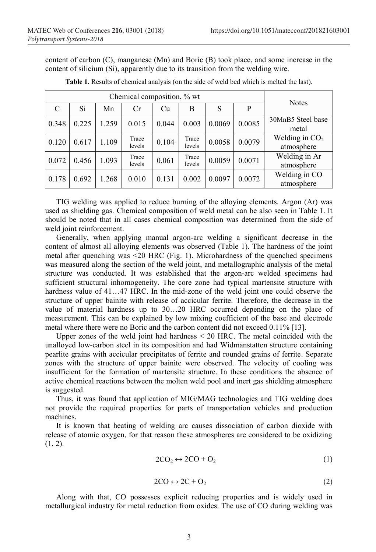content of carbon (C), manganese (Mn) and Boric (B) took place, and some increase in the content of silicium (Si), apparently due to its transition from the welding wire.

| Chemical composition, % wt |       |       |                 |       |                 |        |        | <b>Notes</b>                   |
|----------------------------|-------|-------|-----------------|-------|-----------------|--------|--------|--------------------------------|
| C                          | Si    | Mn    | Cr              | Cu    | B               | S      | P      |                                |
| 0.348                      | 0.225 | 1.259 | 0.015           | 0.044 | 0.003           | 0.0069 | 0.0085 | 30MnB5 Steel base<br>metal     |
| 0.120                      | 0.617 | 1.109 | Trace<br>levels | 0.104 | Trace<br>levels | 0.0058 | 0.0079 | Welding in $CO2$<br>atmosphere |
| 0.072                      | 0.456 | 1.093 | Trace<br>levels | 0.061 | Trace<br>levels | 0.0059 | 0.0071 | Welding in Ar<br>atmosphere    |
| 0.178                      | 0.692 | 1.268 | 0.010           | 0.131 | 0.002           | 0.0097 | 0.0072 | Welding in CO<br>atmosphere    |

**Table 1.** Results of chemical analysis (on the side of weld bed which is melted the last).

TIG welding was applied to reduce burning of the alloying elements. Argon (Ar) was used as shielding gas. Chemical composition of weld metal can be also seen in Table 1. It should be noted that in all cases chemical composition was determined from the side of weld joint reinforcement.

Generally, when applying manual argon-arc welding a significant decrease in the content of almost all alloying elements was observed (Table 1). The hardness of the joint metal after quenching was <20 HRC (Fig. 1). Microhardness of the quenched specimens was measured along the section of the weld joint, and metallographic analysis of the metal structure was conducted. It was established that the argon-arc welded specimens had sufficient structural inhomogeneity. The core zone had typical martensite structure with hardness value of 41...47 HRC. In the mid-zone of the weld joint one could observe the structure of upper bainite with release of accicular ferrite. Therefore, the decrease in the value of material hardness up to 30…20 HRC occurred depending on the place of measurement. This can be explained by low mixing coefficient of the base and electrode metal where there were no Boric and the carbon content did not exceed 0.11% [13].

Upper zones of the weld joint had hardness < 20 HRC. The metal coincided with the unalloyed low-carbon steel in its composition and had Widmanstatten structure containing pearlite grains with accicular precipitates of ferrite and rounded grains of ferrite. Separate zones with the structure of upper bainite were observed. The velocity of cooling was insufficient for the formation of martensite structure. In these conditions the absence of active chemical reactions between the molten weld pool and inert gas shielding atmosphere is suggested.

Thus, it was found that application of MIG/MAG technologies and TIG welding does not provide the required properties for parts of transportation vehicles and production machines.

It is known that heating of welding arc causes dissociation of carbon dioxide with release of atomic oxygen, for that reason these atmospheres are considered to be oxidizing  $(1, 2)$ .

$$
2CO_2 \leftrightarrow 2CO + O_2 \tag{1}
$$

$$
2CO \leftrightarrow 2C + O_2 \tag{2}
$$

Along with that, СО possesses explicit reducing properties and is widely used in metallurgical industry for metal reduction from oxides. The use of СО during welding was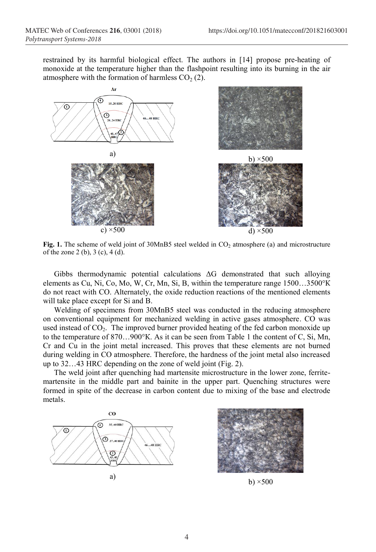restrained by its harmful biological effect. The authors in [14] propose pre-heating of monoxide at the temperature higher than the flashpoint resulting into its burning in the air atmosphere with the formation of harmless  $CO<sub>2</sub>$  (2).



**Fig. 1.** The scheme of weld joint of  $30MnB5$  steel welded in  $CO<sub>2</sub>$  atmosphere (a) and microstructure of the zone 2 (b), 3 (c), 4 (d).

Gibbs thermodynamic potential calculations  $\Delta G$  demonstrated that such alloying elements as Cu, Ni, Co, Mo, W, Cr, Mn, Si, B, within the temperature range 1500…3500°К do not react with СО. Alternately, the oxide reduction reactions of the mentioned elements will take place except for Si and B.

Welding of specimens from 30MnB5 steel was conducted in the reducing atmosphere on conventional equipment for mechanized welding in active gases atmosphere. СО was used instead of CO<sub>2</sub>. The improved burner provided heating of the fed carbon monoxide up to the temperature of 870…900°К. As it can be seen from Table 1 the content of C, Si, Mn, Cr and Cu in the joint metal increased. This proves that these elements are not burned during welding in CO atmosphere. Therefore, the hardness of the joint metal also increased up to 32…43 HRC depending on the zone of weld joint (Fig. 2).

The weld joint after quenching had martensite microstructure in the lower zone, ferritemartensite in the middle part and bainite in the upper part. Quenching structures were formed in spite of the decrease in carbon content due to mixing of the base and electrode metals.



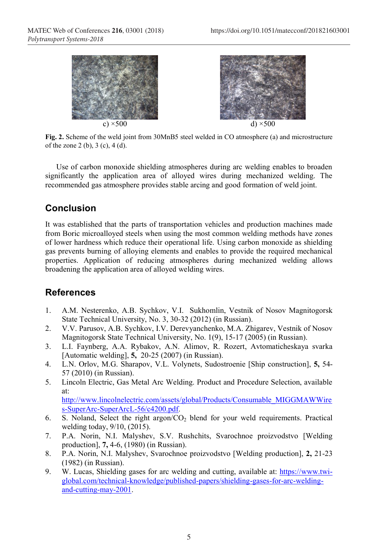

**Fig. 2.** Scheme of the weld joint from 30MnB5 steel welded in CO atmosphere (a) and microstructure of the zone 2 (b), 3 (c), 4 (d).

Use of carbon monoxide shielding atmospheres during arc welding enables to broaden significantly the application area of alloyed wires during mechanized welding. The recommended gas atmosphere provides stable arcing and good formation of weld joint.

# **Conclusion**

It was established that the parts of transportation vehicles and production machines made from Boric microalloyed steels when using the most common welding methods have zones of lower hardness which reduce their operational life. Using carbon monoxide as shielding gas prevents burning of alloying elements and enables to provide the required mechanical properties. Application of reducing atmospheres during mechanized welding allows broadening the application area of alloyed welding wires.

## **References**

- 1. A.M. Nesterenko, A.B. Sychkov, V.I. Sukhomlin, Vestnik of Nosov Magnitogorsk State Technical University, No. 3, 30-32 (2012) (in Russian).
- 2. V.V. Parusov, A.B. Sychkov, I.V. Derevyanchenko, M.A. Zhigarev, Vestnik of Nosov Magnitogorsk State Technical University, No. 1(9), 15-17 (2005) (in Russian).
- 3. L.I. Faynberg, A.A. Rybakov, A.N. Alimov, R. Rozert, Avtomaticheskaya svarka [Automatic welding], **5,** 20-25 (2007) (in Russian).
- 4. L.N. Orlov, M.G. Sharapov, V.L. Volynets, Sudostroenie [Ship construction], **5,** 54- 57 (2010) (in Russian).
- 5. Lincoln Electric, Gas Metal Arc Welding. Product and Procedure Selection, available at: http://www.lincolnelectric.com/assets/global/Products/Consumable\_MIGGMAWWire
- s-SuperArc-SuperArcL-56/c4200.pdf. 6. S. Noland, Select the right argon/ $CO<sub>2</sub>$  blend for your weld requirements. Practical
- welding today, 9/10, (2015).
- 7. P.A. Norin, N.I. Malyshev, S.V. Rushchits, Svarochnoe proizvodstvo [Welding production], **7,** 4-6, (1980) (in Russian).
- 8. P.A. Norin, N.I. Malyshev, Svarochnoe proizvodstvo [Welding production], **2,** 21-23 (1982) (in Russian).
- 9. W. Lucas, Shielding gases for arc welding and cutting, available at: https://www.twiglobal.com/technical-knowledge/published-papers/shielding-gases-for-arc-weldingand-cutting-may-2001.